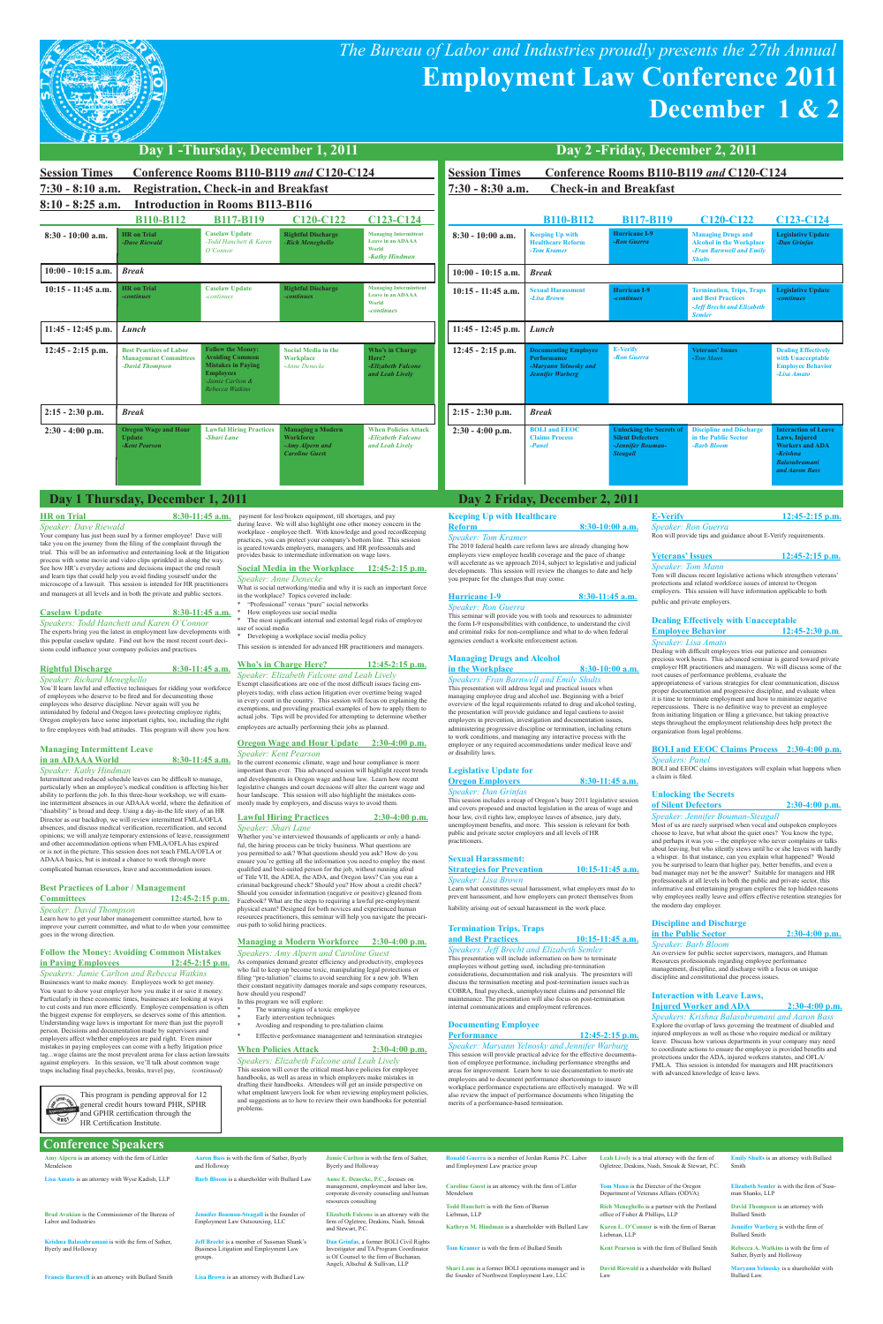# *The Bureau of Labor and Industries proudly presents the 27th Annual*  **Employment Law Conference 2011 December 1 & 2**



| <b>Session Times</b>                     |                                                                                   | Conference Rooms B110-B119 and C120-C124                                                                                                   |                                                                                          |                                                                              |
|------------------------------------------|-----------------------------------------------------------------------------------|--------------------------------------------------------------------------------------------------------------------------------------------|------------------------------------------------------------------------------------------|------------------------------------------------------------------------------|
| $7:30 - 8:10$ a.m.<br>$8:10 - 8:25$ a.m. |                                                                                   | <b>Registration, Check-in and Breakfast</b><br><b>Introduction in Rooms B113-B116</b>                                                      |                                                                                          |                                                                              |
|                                          | <b>B110-B112</b>                                                                  | <b>B117-B119</b>                                                                                                                           | C <sub>120</sub> -C <sub>122</sub>                                                       | C <sub>123</sub> -C <sub>124</sub>                                           |
| $8:30 - 10:00$ a.m.                      | <b>HR</b> on Trial<br>-Dave Riewald                                               | <b>Caselaw Update</b><br>-Todd Hanchett & Karen<br>O'Connor                                                                                | <b>Rightful Discharge</b><br>-Rich Meneghello                                            | <b>Managing Intermittent</b><br>Leave in an ADAAA<br>World<br>-Kathy Hindman |
| $10:00 - 10:15$ a.m.                     | <b>Break</b>                                                                      |                                                                                                                                            |                                                                                          |                                                                              |
| $10:15 - 11:45$ a.m.                     | <b>HR</b> on Trial<br>-continues                                                  | <b>Caselaw Update</b><br>-continues                                                                                                        | <b>Rightful Discharge</b><br>-continues                                                  | <b>Managing Interminttent</b><br>Leave in an ADAAA<br>World<br>-continues    |
| $11:45 - 12:45$ p.m.                     | Lunch                                                                             |                                                                                                                                            |                                                                                          |                                                                              |
| $12:45 - 2:15$ p.m.                      | <b>Best Practices of Labor</b><br><b>Management Committees</b><br>-David Thompson | <b>Follow the Money:</b><br><b>Avoiding Common</b><br><b>Mistakes in Paying</b><br><b>Employees</b><br>-Jamie Carlton &<br>Rebecca Watkins | <b>Social Media in the</b><br><b>Workplace</b><br>-Anne Denecke                          | Who's in Charge<br>Here?<br>-Elizabeth Falcone<br>and Leah Lively            |
| $2:15 - 2:30$ p.m.                       | <b>Break</b>                                                                      |                                                                                                                                            |                                                                                          |                                                                              |
| $2:30 - 4:00$ p.m.                       | <b>Oregon Wage and Hour</b><br><b>Update</b><br>-Kent Pearson                     | <b>Lawful Hiring Practices</b><br>-Shari Lane                                                                                              | <b>Managing a Modern</b><br><b>Workforce</b><br>-Amy Alpern and<br><b>Caroline Guest</b> | <b>When Policies Attack</b><br>-Elizabeth Falcone<br>and Leah Lively         |

## **Conference Speakers**

| Amy Alpern is an attorney with the firm of Littler<br>Mendelson           | Aaron Bass is with the firm of Sather, Byerly<br>and Holloway                                          | Jamie Carlton is with the firm of Sather.<br>Byerly and Holloway                                                                                                                                                                                                 | Ronald Guerra is a member of Jordan Ramis P.C. Labor<br>and Employment Law practice group             | Leah Lively is a trial attorney with the firm of<br>Ogletree, Deakins, Nash, Smoak & Stewart, P.C. | <b>Emily Shults</b> is an attorney with Bullard<br>Smith              |
|---------------------------------------------------------------------------|--------------------------------------------------------------------------------------------------------|------------------------------------------------------------------------------------------------------------------------------------------------------------------------------------------------------------------------------------------------------------------|-------------------------------------------------------------------------------------------------------|----------------------------------------------------------------------------------------------------|-----------------------------------------------------------------------|
| Lisa Amato is an attorney with Wyse Kadish, LLP                           | <b>Barb Bloom</b> is a shareholder with Bullard Law                                                    | Anne E. Denecke, P.C., focuses on<br>management, employment and labor law,<br>corporate diversity counseling and human                                                                                                                                           | Caroline Guest is an attorney with the firm of Littler<br>Mendelson                                   | Tom Mann is the Director of the Oregon<br>Department of Veterans Affairs (ODVA)                    | <b>Elizabeth Semler</b> is with the firm of Suss-<br>man Shanks, LLP  |
| Brad Avakian is the Commissioner of the Bureau of<br>Labor and Industries | Jennifer Bouman-Steagall is the founder of<br>Employment Law Outsourcing, LLC                          | resources consulting<br>Elizabeth Falcone is an attorney with the<br>firm of Ogletree, Deakins, Nash, Smoak<br>and Stewart, P.C.<br>Dan Grinfas, a former BOLI Civil Rights<br>Investigator and TA Program Coordinator<br>is Of Counsel to the firm of Buchanan. | Todd Hanchett is with the firm of Barran<br>Liebman, LLP                                              | Rich Meneghello is a partner with the Portland<br>office of Fisher & Phillips, LLP                 | David Thompson is an attorney with<br><b>Bullard Smith</b>            |
|                                                                           |                                                                                                        |                                                                                                                                                                                                                                                                  | Kathryn M. Hindman is a shareholder with Bullard Law                                                  | Karen L. O'Connor is with the firm of Barran<br>Liebman, LLP                                       | <b>Jennifer Warberg</b> is with the firm of<br><b>Bullard Smith</b>   |
| Krishna Balasubramani is with the firm of Sather.<br>Byerly and Holloway  | <b>Jeff Brecht</b> is a member of Sussman Shank's<br>Business Litigation and Employment Law<br>groups. |                                                                                                                                                                                                                                                                  | Tom Kramer is with the firm of Bullard Smith                                                          | Kent Pearson is with the firm of Bullard Smith                                                     | Rebecca A. Watkins is with the firm of<br>Sather, Byerly and Holloway |
| Francis Barnwell is an attorney with Bullard Smith                        | Lisa Brown is an attorney with Bullard Law                                                             | Angeli, Altschul & Sullivan, LLP                                                                                                                                                                                                                                 | Shari Lane is a former BOLI operations manager and is<br>the founder of Northwest Employment Law, LLC | David Riewald is a shareholder with Bullard<br>Law                                                 | Maryann Yelnosky is a shareholder with<br>Bullard Law.                |

| Conference Rooms B110-B119 and C120-C124<br><b>Session Times</b> |                                                                                                |                                                                                                    |                                                                                                           |                                                                                                                                |
|------------------------------------------------------------------|------------------------------------------------------------------------------------------------|----------------------------------------------------------------------------------------------------|-----------------------------------------------------------------------------------------------------------|--------------------------------------------------------------------------------------------------------------------------------|
| <b>Check-in and Breakfast</b><br>$7:30 - 8:30$ a.m.              |                                                                                                |                                                                                                    |                                                                                                           |                                                                                                                                |
|                                                                  | <b>B110-B112</b>                                                                               | <b>B117-B119</b>                                                                                   | C <sub>120</sub> -C <sub>122</sub>                                                                        | C <sub>123</sub> -C <sub>124</sub>                                                                                             |
| $8:30 - 10:00$ a.m.                                              | <b>Keeping Up with</b><br><b>Healthcare Reform</b><br>-Tom Kramer                              | Hurricane I-9<br>-Ron Guerra                                                                       | <b>Managing Drugs and</b><br><b>Alcohol in the Workplace</b><br>-Fran Barnwell and Emily<br><b>Shults</b> | <b>Legislative Update</b><br>-Dan Grinfas                                                                                      |
| $10:00 - 10:15$ a.m.                                             | <b>Break</b>                                                                                   |                                                                                                    |                                                                                                           |                                                                                                                                |
| $10:15 - 11:45$ a.m.                                             | <b>Sexual Harassment</b><br>-Lisa Brown                                                        | Hurrican I-9<br>-continues                                                                         | <b>Termination, Trips, Traps</b><br>and Best Practices<br>-Jeff Brecht and Elizabeth<br><b>Semler</b>     | <b>Legislative Update</b><br>-continues                                                                                        |
| $11:45 - 12:45$ p.m.                                             | Lunch                                                                                          |                                                                                                    |                                                                                                           |                                                                                                                                |
| $12:45 - 2:15$ p.m.                                              | <b>Documenting Employee</b><br>Performance<br>-Maryann Yelnosky and<br><b>Jennifer Warberg</b> | <b>E-Verify</b><br>-Ron Guerra                                                                     | <b>Veterans' Issues</b><br>-Tom Mann                                                                      | <b>Dealing Effectively</b><br>with Unacceptable<br><b>Employee Behavior</b><br>-Lisa Amato                                     |
| 2:15 - 2:30 p.m.                                                 | <b>Break</b>                                                                                   |                                                                                                    |                                                                                                           |                                                                                                                                |
| $2:30 - 4:00$ p.m.                                               | <b>BOLI</b> and <b>EEOC</b><br><b>Claims Process</b><br>-Panel                                 | <b>Unlocking the Secrets of</b><br><b>Silent Defectors</b><br>-Jennifer Bouman-<br><b>Steagall</b> | <b>Discipline and Discharge</b><br>in the Public Sector<br>-Barb Bloom                                    | <b>Interaction of Leave</b><br>Laws, Injured<br><b>Workers and ADA</b><br>$-Krishna$<br><b>Balasubramani</b><br>and Aaron Bass |

- Developing a workplace social media policy
- This session is intended for advanced HR practitioners and managers.

*Speaker: Dave Riewald* Your company has just been sued by a former employee! Dave will take you on the journey from the filing of the complaint through the trial. This will be an informative and entertaining look at the litigation process with some movie and video clips sprinkled in along the way. See how HR's everyday actions and decisions impact the end result and learn tips that could help you avoid finding yourself under the microscope of a lawsuit. This session is intended for HR practitioners and managers at all levels and in both the private and public sectors.

#### **Caselaw Update 8:30-11:45 a.m.**

*Speakers: Todd Hanchett and Karen O'Connor* The experts bring you the latest in employment law developments with this popular caselaw update. Find out how the most recent court decisions could influence your company policies and practices.

- In this program we will explore: \* The warning signs of a toxic employee
- Early intervention techniques
- Avoiding and responding to pre-taliation claims
- Effective performance management and termination strategies

#### **When Policies Attack** 2:30-4:00 p.m.

### **Rightful Discharge 8:30-11:45 a.m.**

*Speaker: Richard Meneghello* You'll learn lawful and effective techniques for ridding your workforce of employees who deserve to be fired and for documenting those employees who deserve discipline. Never again will you be intimidated by federal and Oregon laws protecting employee rights; Oregon employers have some important rights, too, including the right to fire employees with bad attitudes. This program will show you how.

#### **Reform 8:30-10:00 a.m.** *Speaker: Tom Kramer* The 2010 federal health care reform laws are already changing how

# **Managing Intermittent Leave**

# **in an ADAAA World 8:30-11:45 a.m.** *Speaker: Kathy Hindman* Intermittent and reduced schedule leaves can be difficult to manage,

HRC1

particularly when an employee's medical condition is affecting his/her ability to perform the job. In this three-hour workshop, we will examine intermittent absences in our ADAAA world, where the definition of "disability" is broad and deep. Using a day-in-the life story of an HR Director as our backdrop, we will review intermittent FMLA/OFLA absences, and discuss medical verification, recertification, and second opinions; we will analyze temporary extensi and other accommodation options when FMLA/OFLA has expired or is not in the picture. This session does not teach FMLA/OFLA or ADAAA basics, but is instead a chance to work through more complicated human resources, leave and accommodation issues.

This session includes a recap of Oregon's busy 2011 legislative session and covers proposed and enacted legislation in the areas of wage and hour law, civil rights law, employee leaves of absence, jury duty, unemployment benefits, and more. This session is relevant for both public and private sector employers and all levels of HR practitioner

This presentation will include information on how to terminate employees without getting sued, including pre-termination considerations, documentation and risk analysis. The presenters will discuss the termination meeting and post-termination is COBRA, final paycheck, unemployment claims and personnel file hance. The presentation will also focus on post-termination

#### **Best Practices of Labor / Management**

#### **Committees 12:45-2:15 p.m.** *Speaker: David Thompson*

Learn how to get your labor management committee started, how to improve your current committee, and what to do when your committee goes in the wrong direction.

## **Follow the Money: Avoiding Common Mistakes in Paying Employees 12:45-2:15 p.m.**

*Speaker: Ron Guerra* Ron will provide tips and guidance about E-Verify requirements.

*Speakers: Jamie Carlton and Rebecca Watkins* Businesses want to make money. Employees work to get money. You want to show your employer how you make it or save it money. Particularly in these economic times, businesses are looking at ways to cut costs and run more efficiently. Employee compensation is often the biggest expense for employers, so deserves some of this attention. Understanding wage laws is important for more than just the payroll person. Decisions and documentation made by supervisors and employers affect whether employees are paid right. Even minor mistakes in paying employees can come with a hefty litigation price tag...wage claims are the most prevalent arena for class action lawsuits mployers. In this session, we'll talk about common wage traps including final paychecks, breaks, travel pay, *(continued)*

payment for lost/broken equipment, till shortages, and pay

during leave. We will also highlight one other money concern in the workplace - employee theft. With knowledge and good recordkeeping practices, you can protect your company's bottom line. This session

is geared towards employers, managers, and HR professionals and provides basic to intermediate information on wage laws.

#### **Social Media in the Workplace 12:45-2:15 p.m.** *Speaker: Anne Denecke* What is social networking/media and why it is such an important force

- in the workplace? Topics covered include:
- \* "Professional" versus "pure" social networks \* How employees use social media

The most significant internal and external legal risks of employee of social media

#### **Who's in Charge Here? 12:45-2:15 p.m.** *Speaker: Elizabeth Falcone and Leah Lively*

Exempt classifications are one of the most difficult issues facing em-ployers today, with class action litigation over overtime being waged in every court in the country. This session will focus on explaining the ons, and providing practical examples of how to apply them to actual jobs. Tips will be provided for attempting to determine whether employees are actually performing their jobs as planned.

#### **Oregon Wage and Hour Update 2:30-4:00 p.m.** *Speaker: Kent Pearson*

In the current economic climate, wage and hour compliance is more important than ever. This advanced session will highlight recent trends and developments in Oregon wage and hour law. Learn how recent legislative changes and court decisions will alter the current wage and hour landscape. This session will also highlight the mistakes com-monly made by employers, and discuss ways to avoid them.

#### **Lawful Hiring Practices 2:30-4:00 p.m.** *Speaker: Shari Lane*

Whether you've interviewed thousands of applicants or only a handful, the hiring process can be tricky business. What questions are you permitted to ask? What questions should you ask? How do you ensure you're getting all the information you need to employ the most ed and best-suited person for the job, without running afoul of Title VII, the ADEA, the ADA, and Oregon laws? Can you run a criminal background check? Should you? How about a credit check? Should you consider information (negative or positive) gleaned from Facebook? What are the steps to requiring a lawful pre-employment physical exam? Designed for both novices and experienced human resources practitioners, this seminar will help you navigate the precarious path to solid hiring practices.

#### **Managing a Modern Workforce 2:30-4:00 p.m.** *Speakers: Amy Alpern and Caroline Guest*

As companies demand greater efficiency and productivity, employees who fail to keep up become toxic, manipulating legal protections or filing "pre-taliation" claims to avoid searching for a new job. When their constant negativity damages morale and saps company resources, how should you respond?

*Speakers: Elizabeth Falcone and Leah Lively*

This session will cover the critical must-have policies for employee handbooks, as well as areas in which employers make mistakes in drafting their handbooks. Attendees will get an inside perspective on what emplment lawyers look for when reviewing employment policies, and suggestions as to how to review their own handbooks for potential problems.

unications and employment references

#### **Keeping Up with Healthcare**

# employers view employee health coverage and the pace of change will accelerate as we approach 2014, subject to legislative and judicial developments. This session will review the changes to date and help you prepare for the changes that may come.

#### **Hurricane I-9 8:30-11:45 a.m.** *Speaker: Ron Guerra*

This seminar will provide you with tools and resources to administer the form I-9 responsibilities with confidence, to understand the civil and criminal risks for non-compliance and what to do when federal agencies conduct a worksite enforcement action.

#### **Managing Drugs and Alcohol in the Workplace 8:30-10:00 a.m.**

#### *Speakers: Fran Barnwell and Emily Shults* This presentation will address legal and practical issues when managing employee drug and alcohol use. Beginning with a brief

overview of the legal requirements related to drug and alcohol testing, the presentation will provide guidance and legal cautions to assist employers in prevention, investigation and documentation issues, administering progressive discipline or termination, including return to work conditions, and managing any interactive process with the employee or any required accommodations under medical leave and/ or disability laws.

#### **Legislative Update for Oregon Employers 8:30-11:45 a.m.**

*Speaker: Dan Grinfas*

#### **Sexual Harassment: Strategies for Prevention** 10:15-11:45 a.m. *Speaker: Lisa Brown*

Learn what constitutes sexual harassment, what employers must do to prevent harassment, and how employers can protect themselves from liability arising out of sexual harassment in the work place.

#### **Termination Trips, Traps and Best Practices 10:15-11:45 a.m.** *Speakers: Jeff Brecht and Elizabeth Semler*

#### **Documenting Employee**

#### **Performance 12:45-2:15 p.m.**

*Speaker: Maryann Yelnosky and Jennifer Warburg*

This session will provide practical advice for the effective documentation of employee performance, including performance strengths and areas for improvement. Learn how to use documentation to motivate employees and to document performance shortcomings to insure workplace performance expectations are effectively managed. We will also review the impact of performance documents when litigating the merits of a performance-based termination.

# **E-Verify 12:45-2:15 p.m.**

#### **Veterans' Issues 12:45-2:15 p.m.** *Speaker: Tom Mann*

Tom will discuss recent legislative actions which strengthen veterans' protections and related workforce issues of interest to Oregon employers. This session will have information applicable to both public and private employers.

#### **Dealing Effectively with Unacceptable Employee Behavior 12:45-2:30 p.m***.*

*Speaker: Lisa Amato* Dealing with difficult employees tries our patience and consumes precious work hours. This advanced seminar is geared toward private employer HR practitioners and managers. We will discuss some of the root causes of performance problems, evaluate the appropriateness of various strategies for clear communication, discuss proper documentation and progressive discipline, and evaluate when it is time to terminate employment and how to minimize negative repercussions. There is no definitive way to prevent an employee from initiating litigation or filing a grievance, but taking proactive steps throughout the employment relationship does help protect the organization from legal problems.

#### **BOLI and EEOC Claims Process 2:30-4:00 p.m.** *Speakers: Panel*

BOLI and EEOC claims investigators will explain what happens when a claim is filed.

#### **Unlocking the Secrets of Silent Defectors 2:30-4:00 p.m.**

*Speaker: Jennifer Bouman-Steagall* Most of us are rarely surprised when vocal and outspoken employees choose to leave, but what about the quiet ones? You know the type, and perhaps it was you -- the employee who never complains or talks about leaving, but who silently stews until he or she leaves with hardly a whisper. In that instance, can you explain what happened? Would you be surprised to learn that higher pay, better benefits, and even a bad manager may not be the answer? Suitable for managers and HR professionals at all levels in both the public and private sector, this informative and entertaining program explores the top hidden reasons why employees really leave and offers effective retention strategies for the modern day employer.

#### **Discipline and Discharge in the Public Sector 2:30-4:00 p.m.**

*Speaker: Barb Bloom* An overview for public sector supervisors, managers, and Human Resources professionals regarding employee performance management, discipline, and discharge with a focus on unique discipline and constitutional due process issues.

#### **Interaction with Leave Laws,**

## **Day 1 Thursday, December 1, 2011 Day 2 Friday, December 2, 2011**

**HR** on Trial 8:30-11:45 a.m.

#### **Injured Worker and ADA 2:30-4:00 p.m.**

*Speakers: Krishna Balasubramani and Aaron Bass* Explore the overlap of laws governing the treatment of disabled and injured employees as well as those who require medical or military

leave. Discuss how various departments in your company may need rdinate actions to ensure the employee is provided benefits and protections under the ADA, injured workers statutes, and OFLA/ FMLA. This session is intended for managers and HR practitioners with advanced knowledge of leave laws.

This program is pending approval for 12 general credit hours toward PHR, SPHR and GPHR certification through the HR Certification Institute.